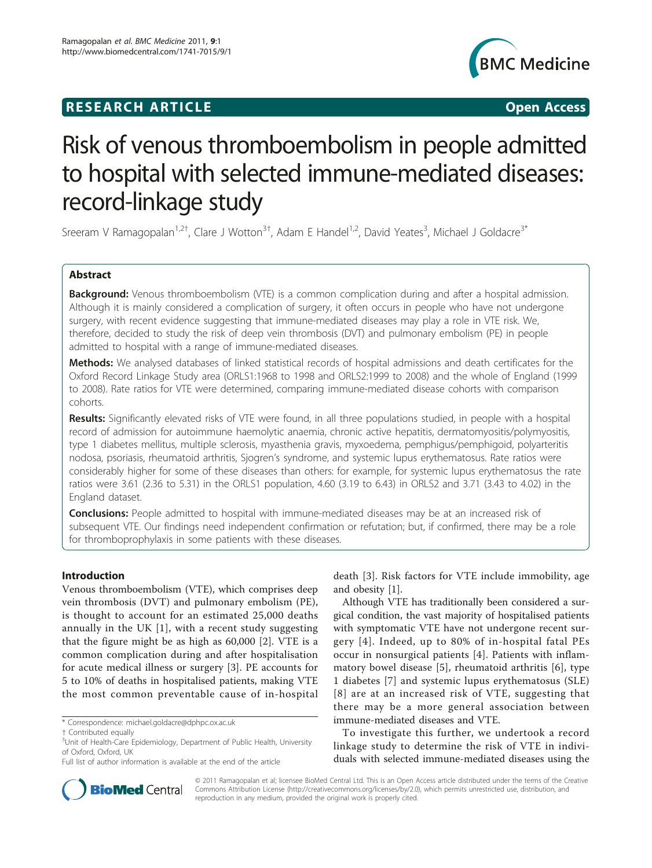## RESEARCH ARTICLE **External of the Contract Contract Contract Contract Contract Contract Contract Contract Contract Contract Contract Contract Contract Contract Contract Contract Contract Contract Contract Contract Contract**



# Risk of venous thromboembolism in people admitted to hospital with selected immune-mediated diseases: record-linkage study

Sreeram V Ramagopalan<sup>1,2†</sup>, Clare J Wotton<sup>3†</sup>, Adam E Handel<sup>1,2</sup>, David Yeates<sup>3</sup>, Michael J Goldacre<sup>3\*</sup>

## Abstract

**Background:** Venous thromboembolism (VTE) is a common complication during and after a hospital admission. Although it is mainly considered a complication of surgery, it often occurs in people who have not undergone surgery, with recent evidence suggesting that immune-mediated diseases may play a role in VTE risk. We, therefore, decided to study the risk of deep vein thrombosis (DVT) and pulmonary embolism (PE) in people admitted to hospital with a range of immune-mediated diseases.

Methods: We analysed databases of linked statistical records of hospital admissions and death certificates for the Oxford Record Linkage Study area (ORLS1:1968 to 1998 and ORLS2:1999 to 2008) and the whole of England (1999 to 2008). Rate ratios for VTE were determined, comparing immune-mediated disease cohorts with comparison cohorts.

Results: Significantly elevated risks of VTE were found, in all three populations studied, in people with a hospital record of admission for autoimmune haemolytic anaemia, chronic active hepatitis, dermatomyositis/polymyositis, type 1 diabetes mellitus, multiple sclerosis, myasthenia gravis, myxoedema, pemphigus/pemphigoid, polyarteritis nodosa, psoriasis, rheumatoid arthritis, Sjogren's syndrome, and systemic lupus erythematosus. Rate ratios were considerably higher for some of these diseases than others: for example, for systemic lupus erythematosus the rate ratios were 3.61 (2.36 to 5.31) in the ORLS1 population, 4.60 (3.19 to 6.43) in ORLS2 and 3.71 (3.43 to 4.02) in the England dataset.

**Conclusions:** People admitted to hospital with immune-mediated diseases may be at an increased risk of subsequent VTE. Our findings need independent confirmation or refutation; but, if confirmed, there may be a role for thromboprophylaxis in some patients with these diseases.

## Introduction

Venous thromboembolism (VTE), which comprises deep vein thrombosis (DVT) and pulmonary embolism (PE), is thought to account for an estimated 25,000 deaths annually in the UK [[1\]](#page-6-0), with a recent study suggesting that the figure might be as high as 60,000 [[2\]](#page-6-0). VTE is a common complication during and after hospitalisation for acute medical illness or surgery [[3\]](#page-6-0). PE accounts for 5 to 10% of deaths in hospitalised patients, making VTE the most common preventable cause of in-hospital death [[3\]](#page-6-0). Risk factors for VTE include immobility, age and obesity [[1\]](#page-6-0).

Although VTE has traditionally been considered a surgical condition, the vast majority of hospitalised patients with symptomatic VTE have not undergone recent surgery [[4\]](#page-6-0). Indeed, up to 80% of in-hospital fatal PEs occur in nonsurgical patients [\[4\]](#page-6-0). Patients with inflammatory bowel disease [\[5\]](#page-6-0), rheumatoid arthritis [[6](#page-7-0)], type 1 diabetes [\[7](#page-7-0)] and systemic lupus erythematosus (SLE) [[8\]](#page-7-0) are at an increased risk of VTE, suggesting that there may be a more general association between immune-mediated diseases and VTE.

To investigate this further, we undertook a record linkage study to determine the risk of VTE in individuals with selected immune-mediated diseases using the



© 2011 Ramagopalan et al; licensee BioMed Central Ltd. This is an Open Access article distributed under the terms of the Creative Commons Attribution License [\(http://creativecommons.org/licenses/by/2.0](http://creativecommons.org/licenses/by/2.0)), which permits unrestricted use, distribution, and reproduction in any medium, provided the original work is properly cited.

<sup>\*</sup> Correspondence: [michael.goldacre@dphpc.ox.ac.uk](mailto:michael.goldacre@dphpc.ox.ac.uk)

<sup>†</sup> Contributed equally <sup>3</sup>

<sup>&</sup>lt;sup>3</sup>Unit of Health-Care Epidemiology, Department of Public Health, University of Oxford, Oxford, UK

Full list of author information is available at the end of the article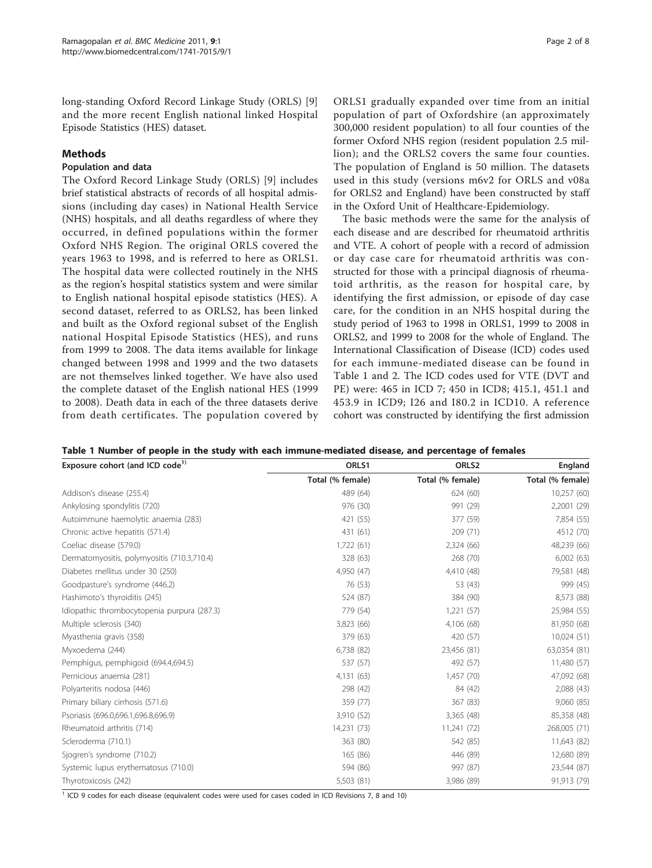<span id="page-1-0"></span>long-standing Oxford Record Linkage Study (ORLS) [\[9](#page-7-0)] and the more recent English national linked Hospital Episode Statistics (HES) dataset.

## Methods

#### Population and data

The Oxford Record Linkage Study (ORLS) [\[9](#page-7-0)] includes brief statistical abstracts of records of all hospital admissions (including day cases) in National Health Service (NHS) hospitals, and all deaths regardless of where they occurred, in defined populations within the former Oxford NHS Region. The original ORLS covered the years 1963 to 1998, and is referred to here as ORLS1. The hospital data were collected routinely in the NHS as the region's hospital statistics system and were similar to English national hospital episode statistics (HES). A second dataset, referred to as ORLS2, has been linked and built as the Oxford regional subset of the English national Hospital Episode Statistics (HES), and runs from 1999 to 2008. The data items available for linkage changed between 1998 and 1999 and the two datasets are not themselves linked together. We have also used the complete dataset of the English national HES (1999 to 2008). Death data in each of the three datasets derive from death certificates. The population covered by

ORLS1 gradually expanded over time from an initial population of part of Oxfordshire (an approximately 300,000 resident population) to all four counties of the former Oxford NHS region (resident population 2.5 million); and the ORLS2 covers the same four counties. The population of England is 50 million. The datasets used in this study (versions m6v2 for ORLS and v08a for ORLS2 and England) have been constructed by staff in the Oxford Unit of Healthcare-Epidemiology.

The basic methods were the same for the analysis of each disease and are described for rheumatoid arthritis and VTE. A cohort of people with a record of admission or day case care for rheumatoid arthritis was constructed for those with a principal diagnosis of rheumatoid arthritis, as the reason for hospital care, by identifying the first admission, or episode of day case care, for the condition in an NHS hospital during the study period of 1963 to 1998 in ORLS1, 1999 to 2008 in ORLS2, and 1999 to 2008 for the whole of England. The International Classification of Disease (ICD) codes used for each immune-mediated disease can be found in Table 1 and [2](#page-2-0). The ICD codes used for VTE (DVT and PE) were: 465 in ICD 7; 450 in ICD8; 415.1, 451.1 and 453.9 in ICD9; I26 and I80.2 in ICD10. A reference cohort was constructed by identifying the first admission

| Exposure cohort (and ICD code <sup>1)</sup> | ORLS1            | ORLS <sub>2</sub> | England          |
|---------------------------------------------|------------------|-------------------|------------------|
|                                             | Total (% female) | Total (% female)  | Total (% female) |
| Addison's disease (255.4)                   | 489 (64)         | 624(60)           | 10,257 (60)      |
| Ankylosing spondylitis (720)                | 976 (30)         | 991 (29)          | 2,2001 (29)      |
| Autoimmune haemolytic anaemia (283)         | 421 (55)         | 377 (59)          | 7,854 (55)       |
| Chronic active hepatitis (571.4)            | 431 (61)         | 209 (71)          | 4512 (70)        |
| Coeliac disease (579.0)                     | 1,722 (61)       | 2,324(66)         | 48,239 (66)      |
| Dermatomyositis, polymyositis (710.3,710.4) | 328 (63)         | 268 (70)          | 6,002(63)        |
| Diabetes mellitus under 30 (250)            | 4,950 (47)       | 4,410 (48)        | 79,581 (48)      |
| Goodpasture's syndrome (446.2)              | 76 (53)          | 53 (43)           | 999 (45)         |
| Hashimoto's thyroiditis (245)               | 524 (87)         | 384 (90)          | 8,573 (88)       |
| Idiopathic thrombocytopenia purpura (287.3) | 779 (54)         | 1,221(57)         | 25,984 (55)      |
| Multiple sclerosis (340)                    | 3,823 (66)       | 4,106 (68)        | 81,950 (68)      |
| Myasthenia gravis (358)                     | 379 (63)         | 420 (57)          | 10,024 (51)      |
| Myxoedema (244)                             | 6,738 (82)       | 23,456 (81)       | 63,0354 (81)     |
| Pemphigus, pemphigoid (694.4,694.5)         | 537 (57)         | 492 (57)          | 11,480 (57)      |
| Pernicious anaemia (281)                    | 4,131 (63)       | 1,457 (70)        | 47,092 (68)      |
| Polyarteritis nodosa (446)                  | 298 (42)         | 84 (42)           | 2,088 (43)       |
| Primary biliary cirrhosis (571.6)           | 359 (77)         | 367 (83)          | 9,060 (85)       |
| Psoriasis (696.0,696.1,696.8,696.9)         | 3,910 (52)       | 3,365 (48)        | 85,358 (48)      |
| Rheumatoid arthritis (714)                  | 14,231 (73)      | 11,241 (72)       | 268,005 (71)     |
| Scleroderma (710.1)                         | 363 (80)         | 542 (85)          | 11,643 (82)      |
| Sjogren's syndrome (710.2)                  | 165 (86)         | 446 (89)          | 12,680 (89)      |
| Systemic lupus erythematosus (710.0)        | 594 (86)         | 997 (87)          | 23,544 (87)      |
| Thyrotoxicosis (242)                        | 5,503 (81)       | 3,986 (89)        | 91,913 (79)      |

Table 1 Number of people in the study with each immune-mediated disease, and percentage of females

<sup>1</sup> ICD 9 codes for each disease (equivalent codes were used for cases coded in ICD Revisions 7, 8 and 10)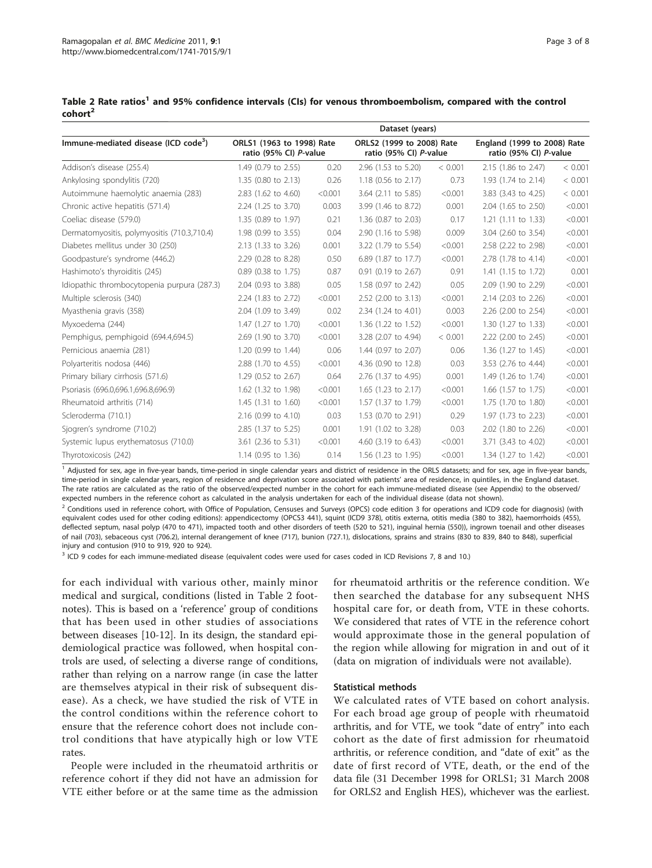<span id="page-2-0"></span>

|                     |  | Table 2 Rate ratios <sup>1</sup> and 95% confidence intervals (CIs) for venous thromboembolism, compared with the control |  |
|---------------------|--|---------------------------------------------------------------------------------------------------------------------------|--|
| cohort <sup>2</sup> |  |                                                                                                                           |  |

|                                                                               | Dataset (years)                                     |         |                                                     |         |                                                       |         |  |
|-------------------------------------------------------------------------------|-----------------------------------------------------|---------|-----------------------------------------------------|---------|-------------------------------------------------------|---------|--|
| Immune-mediated disease (ICD code <sup>3</sup> )<br>Addison's disease (255.4) | ORLS1 (1963 to 1998) Rate<br>ratio (95% CI) P-value |         | ORLS2 (1999 to 2008) Rate<br>ratio (95% CI) P-value |         | England (1999 to 2008) Rate<br>ratio (95% CI) P-value |         |  |
|                                                                               | 1.49 (0.79 to 2.55)                                 | 0.20    | 2.96 (1.53 to 5.20)                                 | < 0.001 | 2.15 (1.86 to 2.47)                                   | < 0.001 |  |
| Ankylosing spondylitis (720)                                                  | 1.35 (0.80 to 2.13)                                 | 0.26    | 1.18 (0.56 to 2.17)                                 | 0.73    | 1.93 (1.74 to 2.14)                                   | < 0.001 |  |
| Autoimmune haemolytic anaemia (283)                                           | 2.83 (1.62 to 4.60)                                 | < 0.001 | 3.64 (2.11 to 5.85)                                 | < 0.001 | 3.83 (3.43 to 4.25)                                   | < 0.001 |  |
| Chronic active hepatitis (571.4)                                              | 2.24 (1.25 to 3.70)                                 | 0.003   | 3.99 (1.46 to 8.72)                                 | 0.001   | 2.04 (1.65 to 2.50)                                   | < 0.001 |  |
| Coeliac disease (579.0)                                                       | 1.35 (0.89 to 1.97)                                 | 0.21    | 1.36 (0.87 to 2.03)                                 | 0.17    | 1.21 (1.11 to 1.33)                                   | < 0.001 |  |
| Dermatomyositis, polymyositis (710.3,710.4)                                   | 1.98 (0.99 to 3.55)                                 | 0.04    | 2.90 (1.16 to 5.98)                                 | 0.009   | 3.04 (2.60 to 3.54)                                   | < 0.001 |  |
| Diabetes mellitus under 30 (250)                                              | 2.13 (1.33 to 3.26)                                 | 0.001   | 3.22 (1.79 to 5.54)                                 | < 0.001 | 2.58 (2.22 to 2.98)                                   | < 0.001 |  |
| Goodpasture's syndrome (446.2)                                                | 2.29 (0.28 to 8.28)                                 | 0.50    | 6.89 (1.87 to 17.7)                                 | < 0.001 | 2.78 (1.78 to 4.14)                                   | < 0.001 |  |
| Hashimoto's thyroiditis (245)                                                 | 0.89 (0.38 to 1.75)                                 | 0.87    | 0.91 (0.19 to 2.67)                                 | 0.91    | 1.41 (1.15 to 1.72)                                   | 0.001   |  |
| Idiopathic thrombocytopenia purpura (287.3)                                   | 2.04 (0.93 to 3.88)                                 | 0.05    | 1.58 (0.97 to 2.42)                                 | 0.05    | 2.09 (1.90 to 2.29)                                   | < 0.001 |  |
| Multiple sclerosis (340)                                                      | 2.24 (1.83 to 2.72)                                 | < 0.001 | 2.52 (2.00 to 3.13)                                 | < 0.001 | 2.14 (2.03 to 2.26)                                   | < 0.001 |  |
| Myasthenia gravis (358)                                                       | 2.04 (1.09 to 3.49)                                 | 0.02    | 2.34 (1.24 to 4.01)                                 | 0.003   | 2.26 (2.00 to 2.54)                                   | < 0.001 |  |
| Myxoedema (244)                                                               | 1.47 (1.27 to 1.70)                                 | < 0.001 | 1.36 (1.22 to 1.52)                                 | < 0.001 | 1.30 (1.27 to 1.33)                                   | < 0.001 |  |
| Pemphigus, pemphigoid (694.4,694.5)                                           | 2.69 (1.90 to 3.70)                                 | < 0.001 | 3.28 (2.07 to 4.94)                                 | < 0.001 | 2.22 (2.00 to 2.45)                                   | < 0.001 |  |
| Pernicious anaemia (281)                                                      | 1.20 (0.99 to 1.44)                                 | 0.06    | 1.44 (0.97 to 2.07)                                 | 0.06    | 1.36 (1.27 to 1.45)                                   | < 0.001 |  |
| Polyarteritis nodosa (446)                                                    | 2.88 (1.70 to 4.55)                                 | < 0.001 | 4.36 (0.90 to 12.8)                                 | 0.03    | 3.53 (2.76 to 4.44)                                   | < 0.001 |  |
| Primary biliary cirrhosis (571.6)                                             | 1.29 (0.52 to 2.67)                                 | 0.64    | 2.76 (1.37 to 4.95)                                 | 0.001   | 1.49 (1.26 to 1.74)                                   | < 0.001 |  |
| Psoriasis (696.0,696.1,696.8,696.9)                                           | 1.62 (1.32 to 1.98)                                 | < 0.001 | 1.65 (1.23 to 2.17)                                 | < 0.001 | 1.66 (1.57 to 1.75)                                   | < 0.001 |  |
| Rheumatoid arthritis (714)                                                    | $1.45$ (1.31 to 1.60)                               | < 0.001 | 1.57 (1.37 to 1.79)                                 | < 0.001 | 1.75 (1.70 to 1.80)                                   | < 0.001 |  |
| Scleroderma (710.1)                                                           | 2.16 (0.99 to 4.10)                                 | 0.03    | 1.53 (0.70 to 2.91)                                 | 0.29    | 1.97 (1.73 to 2.23)                                   | < 0.001 |  |
| Sjogren's syndrome (710.2)                                                    | 2.85 (1.37 to 5.25)                                 | 0.001   | 1.91 (1.02 to 3.28)                                 | 0.03    | 2.02 (1.80 to 2.26)                                   | < 0.001 |  |
| Systemic lupus erythematosus (710.0)                                          | 3.61 (2.36 to 5.31)                                 | < 0.001 | 4.60 (3.19 to 6.43)                                 | < 0.001 | 3.71 (3.43 to 4.02)                                   | < 0.001 |  |
| Thyrotoxicosis (242)                                                          | $1.14$ (0.95 to 1.36)                               | 0.14    | 1.56 (1.23 to 1.95)                                 | < 0.001 | 1.34 (1.27 to 1.42)                                   | < 0.001 |  |

<sup>1</sup> Adjusted for sex, age in five-year bands, time-period in single calendar years and district of residence in the ORLS datasets; and for sex, age in five-year bands, time-period in single calendar years, region of residence and deprivation score associated with patients' area of residence, in quintiles, in the England dataset. The rate ratios are calculated as the ratio of the observed/expected number in the cohort for each immune-mediated disease (see Appendix) to the observed/ expected numbers in the reference cohort as calculated in the analysis undertaken for each of the individual disease (data not shown).

<sup>2</sup> Conditions used in reference cohort, with Office of Population, Censuses and Surveys (OPCS) code edition 3 for operations and ICD9 code for diagnosis) (with equivalent codes used for other coding editions): appendicectomy (OPCS3 441), squint (ICD9 378), otitis externa, otitis media (380 to 382), haemorrhoids (455), deflected septum, nasal polyp (470 to 471), impacted tooth and other disorders of teeth (520 to 521), inguinal hernia (550)), ingrown toenail and other diseases of nail (703), sebaceous cyst (706.2), internal derangement of knee (717), bunion (727.1), dislocations, sprains and strains (830 to 839, 840 to 848), superficial injury and contusion (910 to 919, 920 to 924).

<sup>3</sup> ICD 9 codes for each immune-mediated disease (equivalent codes were used for cases coded in ICD Revisions 7, 8 and 10.)

for each individual with various other, mainly minor medical and surgical, conditions (listed in Table 2 footnotes). This is based on a 'reference' group of conditions that has been used in other studies of associations between diseases [\[10](#page-7-0)-[12](#page-7-0)]. In its design, the standard epidemiological practice was followed, when hospital controls are used, of selecting a diverse range of conditions, rather than relying on a narrow range (in case the latter are themselves atypical in their risk of subsequent disease). As a check, we have studied the risk of VTE in the control conditions within the reference cohort to ensure that the reference cohort does not include control conditions that have atypically high or low VTE rates.

People were included in the rheumatoid arthritis or reference cohort if they did not have an admission for VTE either before or at the same time as the admission for rheumatoid arthritis or the reference condition. We then searched the database for any subsequent NHS hospital care for, or death from, VTE in these cohorts. We considered that rates of VTE in the reference cohort would approximate those in the general population of the region while allowing for migration in and out of it (data on migration of individuals were not available).

#### Statistical methods

We calculated rates of VTE based on cohort analysis. For each broad age group of people with rheumatoid arthritis, and for VTE, we took "date of entry" into each cohort as the date of first admission for rheumatoid arthritis, or reference condition, and "date of exit" as the date of first record of VTE, death, or the end of the data file (31 December 1998 for ORLS1; 31 March 2008 for ORLS2 and English HES), whichever was the earliest.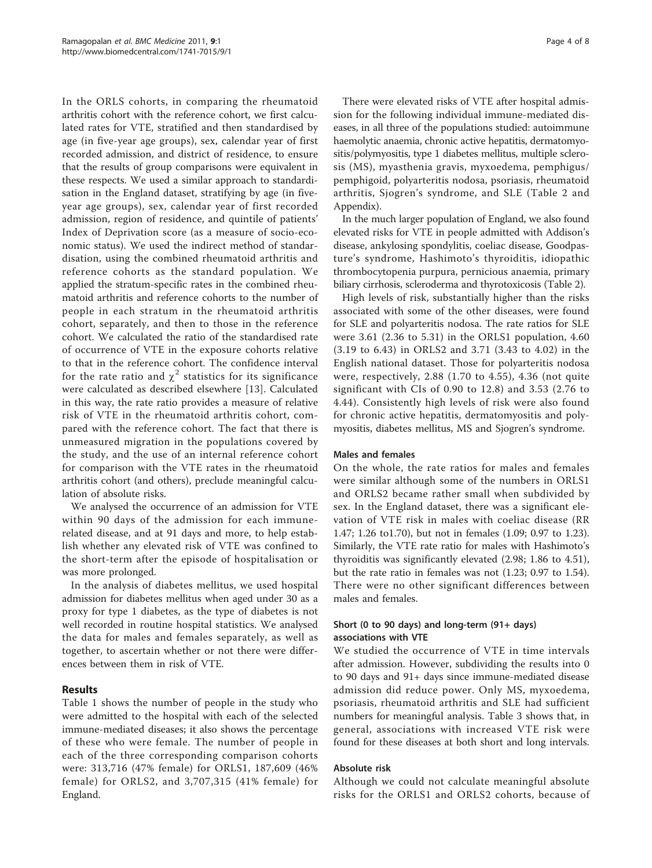In the ORLS cohorts, in comparing the rheumatoid arthritis cohort with the reference cohort, we first calculated rates for VTE, stratified and then standardised by age (in five-year age groups), sex, calendar year of first recorded admission, and district of residence, to ensure that the results of group comparisons were equivalent in these respects. We used a similar approach to standardisation in the England dataset, stratifying by age (in fiveyear age groups), sex, calendar year of first recorded admission, region of residence, and quintile of patients' Index of Deprivation score (as a measure of socio-economic status). We used the indirect method of standardisation, using the combined rheumatoid arthritis and reference cohorts as the standard population. We applied the stratum-specific rates in the combined rheumatoid arthritis and reference cohorts to the number of people in each stratum in the rheumatoid arthritis cohort, separately, and then to those in the reference cohort. We calculated the ratio of the standardised rate of occurrence of VTE in the exposure cohorts relative to that in the reference cohort. The confidence interval for the rate ratio and  $\chi^2$  statistics for its significance were calculated as described elsewhere [[13\]](#page-7-0). Calculated in this way, the rate ratio provides a measure of relative risk of VTE in the rheumatoid arthritis cohort, compared with the reference cohort. The fact that there is unmeasured migration in the populations covered by the study, and the use of an internal reference cohort for comparison with the VTE rates in the rheumatoid arthritis cohort (and others), preclude meaningful calculation of absolute risks.

We analysed the occurrence of an admission for VTE within 90 days of the admission for each immunerelated disease, and at 91 days and more, to help establish whether any elevated risk of VTE was confined to the short-term after the episode of hospitalisation or was more prolonged.

In the analysis of diabetes mellitus, we used hospital admission for diabetes mellitus when aged under 30 as a proxy for type 1 diabetes, as the type of diabetes is not well recorded in routine hospital statistics. We analysed the data for males and females separately, as well as together, to ascertain whether or not there were differences between them in risk of VTE.

## Results

Table [1](#page-1-0) shows the number of people in the study who were admitted to the hospital with each of the selected immune-mediated diseases; it also shows the percentage of these who were female. The number of people in each of the three corresponding comparison cohorts were: 313,716 (47% female) for ORLS1, 187,609 (46% female) for ORLS2, and 3,707,315 (41% female) for England.

There were elevated risks of VTE after hospital admission for the following individual immune-mediated diseases, in all three of the populations studied: autoimmune haemolytic anaemia, chronic active hepatitis, dermatomyositis/polymyositis, type 1 diabetes mellitus, multiple sclerosis (MS), myasthenia gravis, myxoedema, pemphigus/ pemphigoid, polyarteritis nodosa, psoriasis, rheumatoid arthritis, Sjogren's syndrome, and SLE (Table [2](#page-2-0) and Appendix).

In the much larger population of England, we also found elevated risks for VTE in people admitted with Addison's disease, ankylosing spondylitis, coeliac disease, Goodpasture's syndrome, Hashimoto's thyroiditis, idiopathic thrombocytopenia purpura, pernicious anaemia, primary biliary cirrhosis, scleroderma and thyrotoxicosis (Table [2](#page-2-0)).

High levels of risk, substantially higher than the risks associated with some of the other diseases, were found for SLE and polyarteritis nodosa. The rate ratios for SLE were 3.61 (2.36 to 5.31) in the ORLS1 population, 4.60 (3.19 to 6.43) in ORLS2 and 3.71 (3.43 to 4.02) in the English national dataset. Those for polyarteritis nodosa were, respectively, 2.88 (1.70 to 4.55), 4.36 (not quite significant with CIs of 0.90 to 12.8) and 3.53 (2.76 to 4.44). Consistently high levels of risk were also found for chronic active hepatitis, dermatomyositis and polymyositis, diabetes mellitus, MS and Sjogren's syndrome.

#### Males and females

On the whole, the rate ratios for males and females were similar although some of the numbers in ORLS1 and ORLS2 became rather small when subdivided by sex. In the England dataset, there was a significant elevation of VTE risk in males with coeliac disease (RR 1.47; 1.26 to1.70), but not in females (1.09; 0.97 to 1.23). Similarly, the VTE rate ratio for males with Hashimoto's thyroiditis was significantly elevated (2.98; 1.86 to 4.51), but the rate ratio in females was not (1.23; 0.97 to 1.54). There were no other significant differences between males and females.

## Short (0 to 90 days) and long-term (91+ days) associations with VTE

We studied the occurrence of VTE in time intervals after admission. However, subdividing the results into 0 to 90 days and 91+ days since immune-mediated disease admission did reduce power. Only MS, myxoedema, psoriasis, rheumatoid arthritis and SLE had sufficient numbers for meaningful analysis. Table [3](#page-4-0) shows that, in general, associations with increased VTE risk were found for these diseases at both short and long intervals.

#### Absolute risk

Although we could not calculate meaningful absolute risks for the ORLS1 and ORLS2 cohorts, because of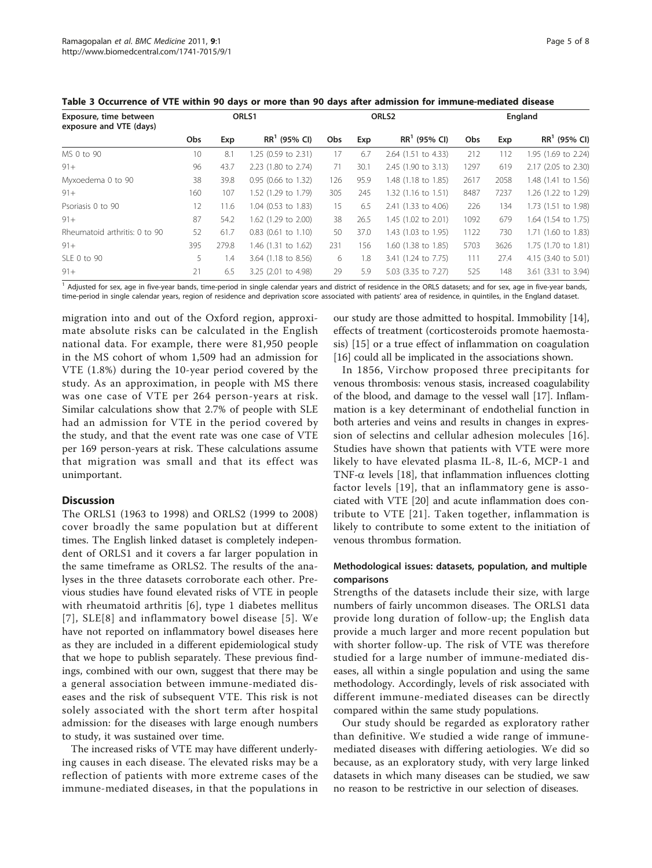| Exposure, time between<br>exposure and VTE (days) | ORLS1 |       |                       | ORLS <sub>2</sub> |      |                     | England    |      |                     |
|---------------------------------------------------|-------|-------|-----------------------|-------------------|------|---------------------|------------|------|---------------------|
|                                                   | Obs   | Exp   | $RR1$ (95% CI)        | <b>Obs</b>        | Exp  | $RR1$ (95% CI)      | <b>Obs</b> | Exp  | $RR1$ (95% CI)      |
| MS 0 to 90                                        | 10    | 8.1   | 1.25 (0.59 to 2.31)   | 17                | 6.7  | 2.64 (1.51 to 4.33) | 212        | 112  | 1.95 (1.69 to 2.24) |
| $91+$                                             | 96    | 43.7  | 2.23 (1.80 to 2.74)   | 71                | 30.1 | 2.45 (1.90 to 3.13) | 1297       | 619  | 2.17 (2.05 to 2.30) |
| Myxoedema 0 to 90                                 | 38    | 39.8  | 0.95 (0.66 to 1.32)   | 126               | 95.9 | 1.48 (1.18 to 1.85) | 2617       | 2058 | 1.48 (1.41 to 1.56) |
| $91+$                                             | 160   | 107   | 1.52 (1.29 to 1.79)   | 305               | 245  | 1.32 (1.16 to 1.51) | 8487       | 7237 | 1.26 (1.22 to 1.29) |
| Psoriasis 0 to 90                                 | 12    | 11.6  | 1.04 (0.53 to 1.83)   | 15                | 6.5  | 2.41 (1.33 to 4.06) | 226        | 134  | 1.73 (1.51 to 1.98) |
| $91+$                                             | 87    | 54.2  | 1.62 (1.29 to 2.00)   | 38                | 26.5 | 1.45 (1.02 to 2.01) | 1092       | 679  | 1.64 (1.54 to 1.75) |
| Rheumatoid arthritis: 0 to 90                     | 52    | 61.7  | $0.83$ (0.61 to 1.10) | 50                | 37.0 | 1.43 (1.03 to 1.95) | 1122       | 730  | 1.71 (1.60 to 1.83) |
| $91+$                                             | 395   | 279.8 | 1.46 (1.31 to 1.62)   | 231               | 156  | 1.60 (1.38 to 1.85) | 5703       | 3626 | 1.75 (1.70 to 1.81) |
| SLE 0 to 90                                       | 5     | 1.4   | 3.64 (1.18 to 8.56)   | 6                 | 1.8  | 3.41 (1.24 to 7.75) | 111        | 27.4 | 4.15 (3.40 to 5.01) |
| $91+$                                             | 21    | 6.5   | 3.25 (2.01 to 4.98)   | 29                | 5.9  | 5.03 (3.35 to 7.27) | 525        | 148  | 3.61 (3.31 to 3.94) |

<span id="page-4-0"></span>Table 3 Occurrence of VTE within 90 days or more than 90 days after admission for immune-mediated disease

<sup>1</sup> Adjusted for sex, age in five-year bands, time-period in single calendar years and district of residence in the ORLS datasets; and for sex, age in five-year bands, time-period in single calendar years, region of residence and deprivation score associated with patients' area of residence, in quintiles, in the England dataset.

migration into and out of the Oxford region, approximate absolute risks can be calculated in the English national data. For example, there were 81,950 people in the MS cohort of whom 1,509 had an admission for VTE (1.8%) during the 10-year period covered by the study. As an approximation, in people with MS there was one case of VTE per 264 person-years at risk. Similar calculations show that 2.7% of people with SLE had an admission for VTE in the period covered by the study, and that the event rate was one case of VTE per 169 person-years at risk. These calculations assume that migration was small and that its effect was unimportant.

#### **Discussion**

The ORLS1 (1963 to 1998) and ORLS2 (1999 to 2008) cover broadly the same population but at different times. The English linked dataset is completely independent of ORLS1 and it covers a far larger population in the same timeframe as ORLS2. The results of the analyses in the three datasets corroborate each other. Previous studies have found elevated risks of VTE in people with rheumatoid arthritis [\[6\]](#page-7-0), type 1 diabetes mellitus [[7\]](#page-7-0), SLE[8] and inflammatory bowel disease [[5](#page-6-0)]. We have not reported on inflammatory bowel diseases here as they are included in a different epidemiological study that we hope to publish separately. These previous findings, combined with our own, suggest that there may be a general association between immune-mediated diseases and the risk of subsequent VTE. This risk is not solely associated with the short term after hospital admission: for the diseases with large enough numbers to study, it was sustained over time.

The increased risks of VTE may have different underlying causes in each disease. The elevated risks may be a reflection of patients with more extreme cases of the immune-mediated diseases, in that the populations in

our study are those admitted to hospital. Immobility [[14](#page-7-0)], effects of treatment (corticosteroids promote haemostasis) [[15\]](#page-7-0) or a true effect of inflammation on coagulation [[16\]](#page-7-0) could all be implicated in the associations shown.

In 1856, Virchow proposed three precipitants for venous thrombosis: venous stasis, increased coagulability of the blood, and damage to the vessel wall [\[17\]](#page-7-0). Inflammation is a key determinant of endothelial function in both arteries and veins and results in changes in expression of selectins and cellular adhesion molecules [[16](#page-7-0)]. Studies have shown that patients with VTE were more likely to have elevated plasma IL-8, IL-6, MCP-1 and TNF- $\alpha$  levels [[18\]](#page-7-0), that inflammation influences clotting factor levels [[19](#page-7-0)], that an inflammatory gene is associated with VTE [\[20](#page-7-0)] and acute inflammation does contribute to VTE [[21](#page-7-0)]. Taken together, inflammation is likely to contribute to some extent to the initiation of venous thrombus formation.

## Methodological issues: datasets, population, and multiple comparisons

Strengths of the datasets include their size, with large numbers of fairly uncommon diseases. The ORLS1 data provide long duration of follow-up; the English data provide a much larger and more recent population but with shorter follow-up. The risk of VTE was therefore studied for a large number of immune-mediated diseases, all within a single population and using the same methodology. Accordingly, levels of risk associated with different immune-mediated diseases can be directly compared within the same study populations.

Our study should be regarded as exploratory rather than definitive. We studied a wide range of immunemediated diseases with differing aetiologies. We did so because, as an exploratory study, with very large linked datasets in which many diseases can be studied, we saw no reason to be restrictive in our selection of diseases.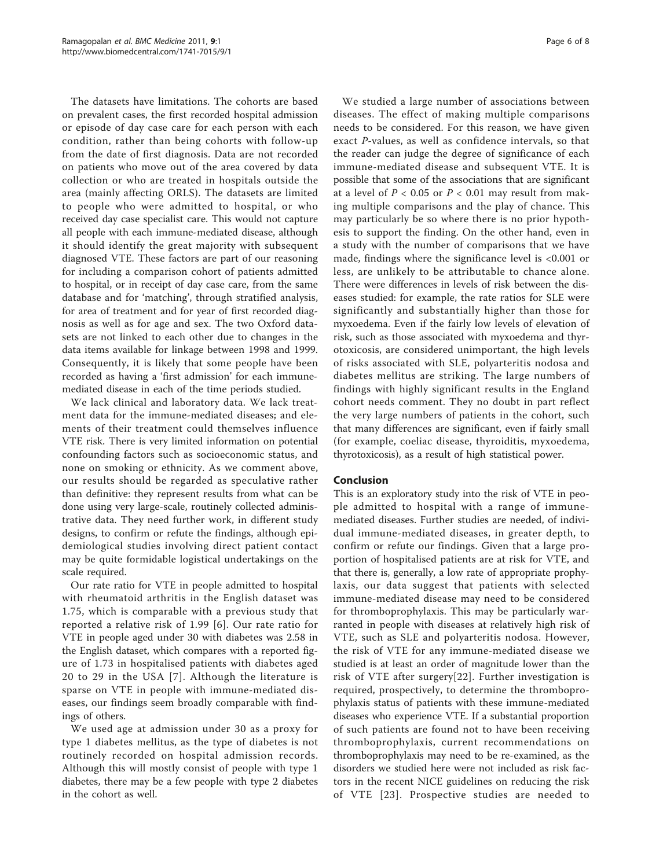The datasets have limitations. The cohorts are based on prevalent cases, the first recorded hospital admission or episode of day case care for each person with each condition, rather than being cohorts with follow-up from the date of first diagnosis. Data are not recorded on patients who move out of the area covered by data collection or who are treated in hospitals outside the area (mainly affecting ORLS). The datasets are limited to people who were admitted to hospital, or who received day case specialist care. This would not capture all people with each immune-mediated disease, although it should identify the great majority with subsequent diagnosed VTE. These factors are part of our reasoning for including a comparison cohort of patients admitted to hospital, or in receipt of day case care, from the same database and for 'matching', through stratified analysis, for area of treatment and for year of first recorded diagnosis as well as for age and sex. The two Oxford datasets are not linked to each other due to changes in the data items available for linkage between 1998 and 1999. Consequently, it is likely that some people have been recorded as having a 'first admission' for each immunemediated disease in each of the time periods studied.

We lack clinical and laboratory data. We lack treatment data for the immune-mediated diseases; and elements of their treatment could themselves influence VTE risk. There is very limited information on potential confounding factors such as socioeconomic status, and none on smoking or ethnicity. As we comment above, our results should be regarded as speculative rather than definitive: they represent results from what can be done using very large-scale, routinely collected administrative data. They need further work, in different study designs, to confirm or refute the findings, although epidemiological studies involving direct patient contact may be quite formidable logistical undertakings on the scale required.

Our rate ratio for VTE in people admitted to hospital with rheumatoid arthritis in the English dataset was 1.75, which is comparable with a previous study that reported a relative risk of 1.99 [[6](#page-7-0)]. Our rate ratio for VTE in people aged under 30 with diabetes was 2.58 in the English dataset, which compares with a reported figure of 1.73 in hospitalised patients with diabetes aged 20 to 29 in the USA [[7](#page-7-0)]. Although the literature is sparse on VTE in people with immune-mediated diseases, our findings seem broadly comparable with findings of others.

We used age at admission under 30 as a proxy for type 1 diabetes mellitus, as the type of diabetes is not routinely recorded on hospital admission records. Although this will mostly consist of people with type 1 diabetes, there may be a few people with type 2 diabetes in the cohort as well.

We studied a large number of associations between diseases. The effect of making multiple comparisons needs to be considered. For this reason, we have given exact P-values, as well as confidence intervals, so that the reader can judge the degree of significance of each immune-mediated disease and subsequent VTE. It is possible that some of the associations that are significant at a level of  $P < 0.05$  or  $P < 0.01$  may result from making multiple comparisons and the play of chance. This may particularly be so where there is no prior hypothesis to support the finding. On the other hand, even in a study with the number of comparisons that we have made, findings where the significance level is <0.001 or less, are unlikely to be attributable to chance alone. There were differences in levels of risk between the diseases studied: for example, the rate ratios for SLE were significantly and substantially higher than those for myxoedema. Even if the fairly low levels of elevation of risk, such as those associated with myxoedema and thyrotoxicosis, are considered unimportant, the high levels of risks associated with SLE, polyarteritis nodosa and diabetes mellitus are striking. The large numbers of findings with highly significant results in the England cohort needs comment. They no doubt in part reflect the very large numbers of patients in the cohort, such that many differences are significant, even if fairly small (for example, coeliac disease, thyroiditis, myxoedema, thyrotoxicosis), as a result of high statistical power.

## Conclusion

This is an exploratory study into the risk of VTE in people admitted to hospital with a range of immunemediated diseases. Further studies are needed, of individual immune-mediated diseases, in greater depth, to confirm or refute our findings. Given that a large proportion of hospitalised patients are at risk for VTE, and that there is, generally, a low rate of appropriate prophylaxis, our data suggest that patients with selected immune-mediated disease may need to be considered for thromboprophylaxis. This may be particularly warranted in people with diseases at relatively high risk of VTE, such as SLE and polyarteritis nodosa. However, the risk of VTE for any immune-mediated disease we studied is at least an order of magnitude lower than the risk of VTE after surgery[22]. Further investigation is required, prospectively, to determine the thromboprophylaxis status of patients with these immune-mediated diseases who experience VTE. If a substantial proportion of such patients are found not to have been receiving thromboprophylaxis, current recommendations on thromboprophylaxis may need to be re-examined, as the disorders we studied here were not included as risk factors in the recent NICE guidelines on reducing the risk of VTE [[23](#page-7-0)]. Prospective studies are needed to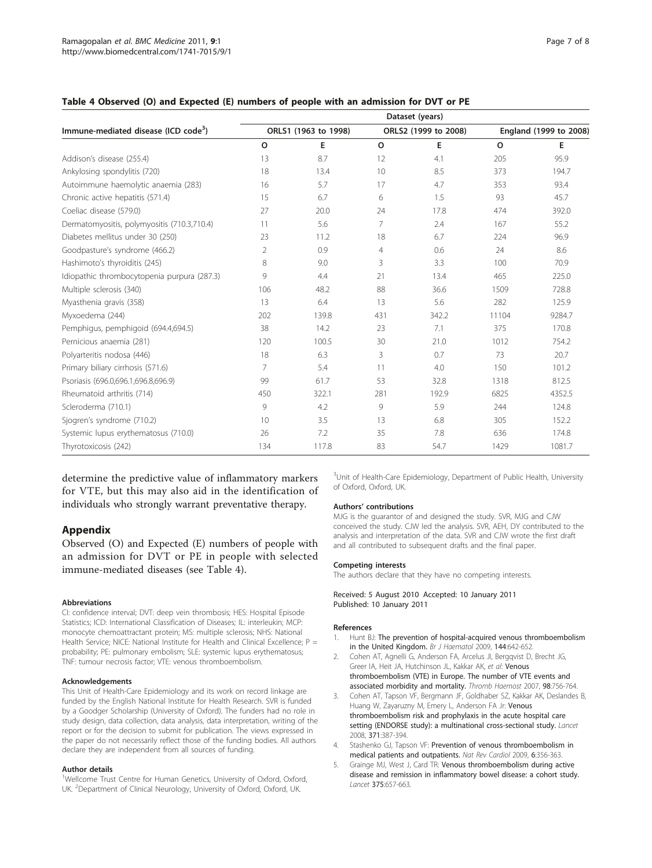#### <span id="page-6-0"></span>Table 4 Observed (O) and Expected (E) numbers of people with an admission for DVT or PE

|                                                  | Dataset (years)      |       |                      |       |                        |        |  |  |  |
|--------------------------------------------------|----------------------|-------|----------------------|-------|------------------------|--------|--|--|--|
| Immune-mediated disease (ICD code <sup>3</sup> ) | ORLS1 (1963 to 1998) |       | ORLS2 (1999 to 2008) |       | England (1999 to 2008) |        |  |  |  |
|                                                  | $\circ$              | E     | $\circ$              | E     | $\circ$                | E      |  |  |  |
| Addison's disease (255.4)                        | 13                   | 8.7   | 12                   | 4.1   | 205                    | 95.9   |  |  |  |
| Ankylosing spondylitis (720)                     | 18                   | 13.4  | 10 <sup>1</sup>      | 8.5   | 373                    | 194.7  |  |  |  |
| Autoimmune haemolytic anaemia (283)              | 16                   | 5.7   | 17                   | 4.7   | 353                    | 93.4   |  |  |  |
| Chronic active hepatitis (571.4)                 | 15                   | 6.7   | 6                    | 1.5   | 93                     | 45.7   |  |  |  |
| Coeliac disease (579.0)                          | 27                   | 20.0  | 24                   | 17.8  | 474                    | 392.0  |  |  |  |
| Dermatomyositis, polymyositis (710.3,710.4)      | 11                   | 5.6   | 7                    | 2.4   | 167                    | 55.2   |  |  |  |
| Diabetes mellitus under 30 (250)                 | 23                   | 11.2  | 18                   | 6.7   | 224                    | 96.9   |  |  |  |
| Goodpasture's syndrome (466.2)                   | $\overline{2}$       | 0.9   | $\overline{4}$       | 0.6   | 24                     | 8.6    |  |  |  |
| Hashimoto's thyroiditis (245)                    | 8                    | 9.0   | 3                    | 3.3   | 100                    | 70.9   |  |  |  |
| Idiopathic thrombocytopenia purpura (287.3)      | 9                    | 4.4   | 21                   | 13.4  | 465                    | 225.0  |  |  |  |
| Multiple sclerosis (340)                         | 106                  | 48.2  | 88                   | 36.6  | 1509                   | 728.8  |  |  |  |
| Myasthenia gravis (358)                          | 13                   | 6.4   | 13                   | 5.6   | 282                    | 125.9  |  |  |  |
| Myxoedema (244)                                  | 202                  | 139.8 | 431                  | 342.2 | 11104                  | 9284.7 |  |  |  |
| Pemphiqus, pemphiqoid (694.4,694.5)              | 38                   | 14.2  | 23                   | 7.1   | 375                    | 170.8  |  |  |  |
| Pernicious anaemia (281)                         | 120                  | 100.5 | 30                   | 21.0  | 1012                   | 754.2  |  |  |  |
| Polyarteritis nodosa (446)                       | 18                   | 6.3   | 3                    | 0.7   | 73                     | 20.7   |  |  |  |
| Primary biliary cirrhosis (571.6)                | 7                    | 5.4   | 11                   | 4.0   | 150                    | 101.2  |  |  |  |
| Psoriasis (696.0,696.1,696.8,696.9)              | 99                   | 61.7  | 53                   | 32.8  | 1318                   | 812.5  |  |  |  |
| Rheumatoid arthritis (714)                       | 450                  | 322.1 | 281                  | 192.9 | 6825                   | 4352.5 |  |  |  |
| Scleroderma (710.1)                              | 9                    | 4.2   | 9                    | 5.9   | 244                    | 124.8  |  |  |  |
| Sjogren's syndrome (710.2)                       | 10                   | 3.5   | 13                   | 6.8   | 305                    | 152.2  |  |  |  |
| Systemic lupus erythematosus (710.0)             | 26                   | 7.2   | 35                   | 7.8   | 636                    | 174.8  |  |  |  |
| Thyrotoxicosis (242)                             | 134                  | 117.8 | 83                   | 54.7  | 1429                   | 1081.7 |  |  |  |

determine the predictive value of inflammatory markers for VTE, but this may also aid in the identification of individuals who strongly warrant preventative therapy.

## Appendix

Observed (O) and Expected (E) numbers of people with an admission for DVT or PE in people with selected immune-mediated diseases (see Table 4).

#### Abbreviations

CI: confidence interval; DVT: deep vein thrombosis; HES: Hospital Episode Statistics; ICD: International Classification of Diseases; IL: interleukin; MCP: monocyte chemoattractant protein; MS: multiple sclerosis; NHS: National Health Service; NICE: National Institute for Health and Clinical Excellence;  $P =$ probability; PE: pulmonary embolism; SLE: systemic lupus erythematosus; TNF: tumour necrosis factor; VTE: venous thromboembolism.

#### Acknowledgements

This Unit of Health-Care Epidemiology and its work on record linkage are funded by the English National Institute for Health Research. SVR is funded by a Goodger Scholarship (University of Oxford). The funders had no role in study design, data collection, data analysis, data interpretation, writing of the report or for the decision to submit for publication. The views expressed in the paper do not necessarily reflect those of the funding bodies. All authors declare they are independent from all sources of funding.

#### Author details

<sup>1</sup>Wellcome Trust Centre for Human Genetics, University of Oxford, Oxford, UK. <sup>2</sup>Department of Clinical Neurology, University of Oxford, Oxford, UK.

<sup>3</sup>Unit of Health-Care Epidemiology, Department of Public Health, University of Oxford, Oxford, UK.

#### Authors' contributions

MJG is the guarantor of and designed the study. SVR, MJG and CJW conceived the study. CJW led the analysis. SVR, AEH, DY contributed to the analysis and interpretation of the data. SVR and CJW wrote the first draft and all contributed to subsequent drafts and the final paper.

#### Competing interests

The authors declare that they have no competing interests.

Received: 5 August 2010 Accepted: 10 January 2011 Published: 10 January 2011

#### References

- 1. Hunt BJ: [The prevention of hospital-acquired venous thromboembolism](http://www.ncbi.nlm.nih.gov/pubmed/19076173?dopt=Abstract) [in the United Kingdom.](http://www.ncbi.nlm.nih.gov/pubmed/19076173?dopt=Abstract) Br J Haematol 2009, 144:642-652.
- 2. Cohen AT, Agnelli G, Anderson FA, Arcelus JI, Bergqvist D, Brecht JG, Greer IA, Heit JA, Hutchinson JL, Kakkar AK, et al: [Venous](http://www.ncbi.nlm.nih.gov/pubmed/17938798?dopt=Abstract) [thromboembolism \(VTE\) in Europe. The number of VTE events and](http://www.ncbi.nlm.nih.gov/pubmed/17938798?dopt=Abstract) [associated morbidity and mortality.](http://www.ncbi.nlm.nih.gov/pubmed/17938798?dopt=Abstract) Thromb Haemost 2007, 98:756-764.
- 3. Cohen AT, Tapson VF, Bergmann JF, Goldhaber SZ, Kakkar AK, Deslandes B, Huang W, Zayaruzny M, Emery L, Anderson FA Jr: [Venous](http://www.ncbi.nlm.nih.gov/pubmed/18242412?dopt=Abstract) [thromboembolism risk and prophylaxis in the acute hospital care](http://www.ncbi.nlm.nih.gov/pubmed/18242412?dopt=Abstract) [setting \(ENDORSE study\): a multinational cross-sectional study.](http://www.ncbi.nlm.nih.gov/pubmed/18242412?dopt=Abstract) Lancet 2008, 371:387-394.
- 4. Stashenko GJ, Tapson VF: [Prevention of venous thromboembolism in](http://www.ncbi.nlm.nih.gov/pubmed/19377498?dopt=Abstract) [medical patients and outpatients.](http://www.ncbi.nlm.nih.gov/pubmed/19377498?dopt=Abstract) Nat Rev Cardiol 2009, 6:356-363.
- 5. Grainge MJ, West J, Card TR: [Venous thromboembolism during active](http://www.ncbi.nlm.nih.gov/pubmed/20149425?dopt=Abstract) [disease and remission in inflammatory bowel disease: a cohort study.](http://www.ncbi.nlm.nih.gov/pubmed/20149425?dopt=Abstract) Lancet 375:657-663.